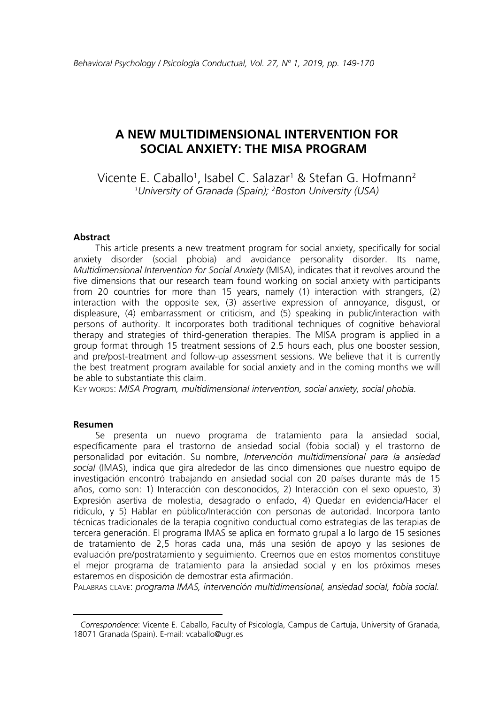# **A NEW MULTIDIMENSIONAL INTERVENTION FOR SOCIAL ANXIETY: THE MISA PROGRAM [1](#page-0-0)**

Vicente E. Caballo<sup>1</sup>, Isabel C. Salazar<sup>1</sup> & Stefan G. Hofmann<sup>2</sup> *1 University of Granada (Spain); 2 Boston University (USA)*

#### **Abstract**

This article presents a new treatment program for social anxiety, specifically for social anxiety disorder (social phobia) and avoidance personality disorder. Its name, *Multidimensional Intervention for Social Anxiety* (MISA), indicates that it revolves around the five dimensions that our research team found working on social anxiety with participants from 20 countries for more than 15 years, namely (1) interaction with strangers, (2) interaction with the opposite sex, (3) assertive expression of annoyance, disgust, or displeasure, (4) embarrassment or criticism, and (5) speaking in public/interaction with persons of authority. It incorporates both traditional techniques of cognitive behavioral therapy and strategies of third-generation therapies. The MISA program is applied in a group format through 15 treatment sessions of 2.5 hours each, plus one booster session, and pre/post-treatment and follow-up assessment sessions. We believe that it is currently the best treatment program available for social anxiety and in the coming months we will be able to substantiate this claim.

KEY WORDS: *MISA Program, multidimensional intervention, social anxiety, social phobia.*

#### **Resumen**

 $\overline{\phantom{a}}$ 

Se presenta un nuevo programa de tratamiento para la ansiedad social, específicamente para el trastorno de ansiedad social (fobia social) y el trastorno de personalidad por evitación. Su nombre, *Intervención multidimensional para la ansiedad social* (IMAS), indica que gira alrededor de las cinco dimensiones que nuestro equipo de investigación encontró trabajando en ansiedad social con 20 países durante más de 15 años, como son: 1) Interacción con desconocidos, 2) Interacción con el sexo opuesto, 3) Expresión asertiva de molestia, desagrado o enfado, 4) Quedar en evidencia/Hacer el ridículo, y 5) Hablar en público/Interacción con personas de autoridad. Incorpora tanto técnicas tradicionales de la terapia cognitivo conductual como estrategias de las terapias de tercera generación. El programa IMAS se aplica en formato grupal a lo largo de 15 sesiones de tratamiento de 2,5 horas cada una, más una sesión de apoyo y las sesiones de evaluación pre/postratamiento y seguimiento. Creemos que en estos momentos constituye el mejor programa de tratamiento para la ansiedad social y en los próximos meses estaremos en disposición de demostrar esta afirmación.

PALABRAS CLAVE: *programa IMAS, intervención multidimensional, ansiedad social, fobia social.*

<span id="page-0-0"></span>*Correspondence*: Vicente E. Caballo, Faculty of Psicología, Campus de Cartuja, University of Granada, 18071 Granada (Spain). E-mail: vcaballo@ugr.es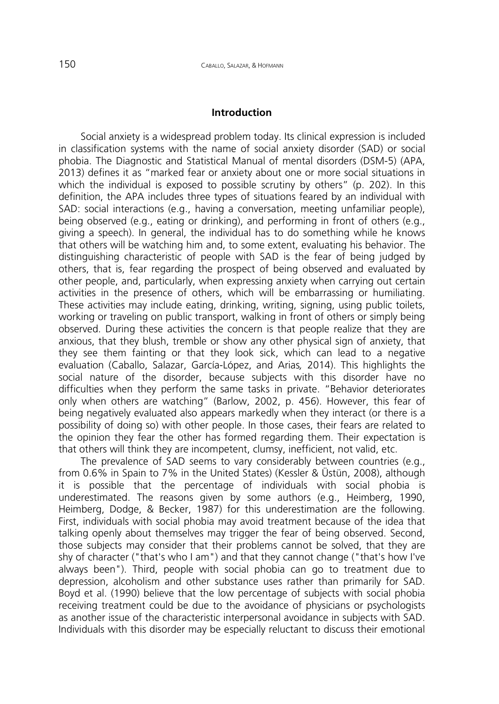#### **Introduction**

Social anxiety is a widespread problem today. Its clinical expression is included in classification systems with the name of social anxiety disorder (SAD) or social phobia. The Diagnostic and Statistical Manual of mental disorders (DSM-5) (APA, 2013) defines it as "marked fear or anxiety about one or more social situations in which the individual is exposed to possible scrutiny by others" (p. 202). In this definition, the APA includes three types of situations feared by an individual with SAD: social interactions (e.g., having a conversation, meeting unfamiliar people), being observed (e.g., eating or drinking), and performing in front of others (e.g., giving a speech). In general, the individual has to do something while he knows that others will be watching him and, to some extent, evaluating his behavior. The distinguishing characteristic of people with SAD is the fear of being judged by others, that is, fear regarding the prospect of being observed and evaluated by other people, and, particularly, when expressing anxiety when carrying out certain activities in the presence of others, which will be embarrassing or humiliating. These activities may include eating, drinking, writing, signing, using public toilets, working or traveling on public transport, walking in front of others or simply being observed. During these activities the concern is that people realize that they are anxious, that they blush, tremble or show any other physical sign of anxiety, that they see them fainting or that they look sick, which can lead to a negative evaluation (Caballo, Salazar, García-López, and Arias*,* 2014). This highlights the social nature of the disorder, because subjects with this disorder have no difficulties when they perform the same tasks in private. "Behavior deteriorates only when others are watching" (Barlow, 2002, p. 456). However, this fear of being negatively evaluated also appears markedly when they interact (or there is a possibility of doing so) with other people. In those cases, their fears are related to the opinion they fear the other has formed regarding them. Their expectation is that others will think they are incompetent, clumsy, inefficient, not valid, etc.

The prevalence of SAD seems to vary considerably between countries (e.g., from 0.6% in Spain to 7% in the United States) (Kessler & Üstün, 2008), although it is possible that the percentage of individuals with social phobia is underestimated. The reasons given by some authors (e.g., Heimberg, 1990, Heimberg, Dodge, & Becker, 1987) for this underestimation are the following. First, individuals with social phobia may avoid treatment because of the idea that talking openly about themselves may trigger the fear of being observed. Second, those subjects may consider that their problems cannot be solved, that they are shy of character ("that's who I am") and that they cannot change ("that's how I've always been"). Third, people with social phobia can go to treatment due to depression, alcoholism and other substance uses rather than primarily for SAD. Boyd et al. (1990) believe that the low percentage of subjects with social phobia receiving treatment could be due to the avoidance of physicians or psychologists as another issue of the characteristic interpersonal avoidance in subjects with SAD. Individuals with this disorder may be especially reluctant to discuss their emotional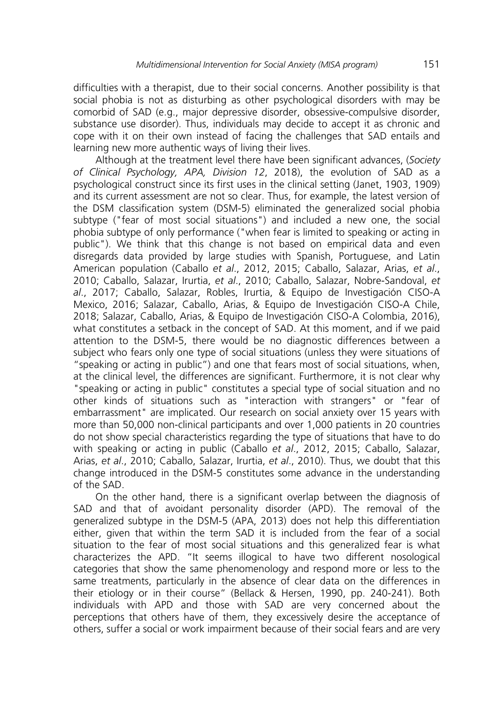difficulties with a therapist, due to their social concerns. Another possibility is that social phobia is not as disturbing as other psychological disorders with may be comorbid of SAD (e.g., major depressive disorder, obsessive-compulsive disorder, substance use disorder). Thus, individuals may decide to accept it as chronic and cope with it on their own instead of facing the challenges that SAD entails and learning new more authentic ways of living their lives.

Although at the treatment level there have been significant advances, (*Society of Clinical Psychology, APA, Division 12*, 2018), the evolution of SAD as a psychological construct since its first uses in the clinical setting (Janet, 1903, 1909) and its current assessment are not so clear. Thus, for example, the latest version of the DSM classification system (DSM-5) eliminated the generalized social phobia subtype ("fear of most social situations") and included a new one, the social phobia subtype of only performance ("when fear is limited to speaking or acting in public"). We think that this change is not based on empirical data and even disregards data provided by large studies with Spanish, Portuguese, and Latin American population (Caballo *et al*., 2012, 2015; Caballo, Salazar, Arias, *et al*., 2010; Caballo, Salazar, Irurtia, *et al*., 2010; Caballo, Salazar, Nobre-Sandoval, *et al*., 2017; Caballo, Salazar, Robles, Irurtia, & Equipo de Investigación CISO-A Mexico, 2016; Salazar, Caballo, Arias, & Equipo de Investigación CISO-A Chile, 2018; Salazar, Caballo, Arias, & Equipo de Investigación CISO-A Colombia, 2016), what constitutes a setback in the concept of SAD. At this moment, and if we paid attention to the DSM-5, there would be no diagnostic differences between a subject who fears only one type of social situations (unless they were situations of "speaking or acting in public") and one that fears most of social situations, when, at the clinical level, the differences are significant. Furthermore, it is not clear why "speaking or acting in public" constitutes a special type of social situation and no other kinds of situations such as "interaction with strangers" or "fear of embarrassment" are implicated. Our research on social anxiety over 15 years with more than 50,000 non-clinical participants and over 1,000 patients in 20 countries do not show special characteristics regarding the type of situations that have to do with speaking or acting in public (Caballo *et al*., 2012, 2015; Caballo, Salazar, Arias, *et al*., 2010; Caballo, Salazar, Irurtia, *et al*., 2010). Thus, we doubt that this change introduced in the DSM-5 constitutes some advance in the understanding of the SAD.

On the other hand, there is a significant overlap between the diagnosis of SAD and that of avoidant personality disorder (APD). The removal of the generalized subtype in the DSM-5 (APA, 2013) does not help this differentiation either, given that within the term SAD it is included from the fear of a social situation to the fear of most social situations and this generalized fear is what characterizes the APD. "It seems illogical to have two different nosological categories that show the same phenomenology and respond more or less to the same treatments, particularly in the absence of clear data on the differences in their etiology or in their course" (Bellack & Hersen, 1990, pp. 240-241). Both individuals with APD and those with SAD are very concerned about the perceptions that others have of them, they excessively desire the acceptance of others, suffer a social or work impairment because of their social fears and are very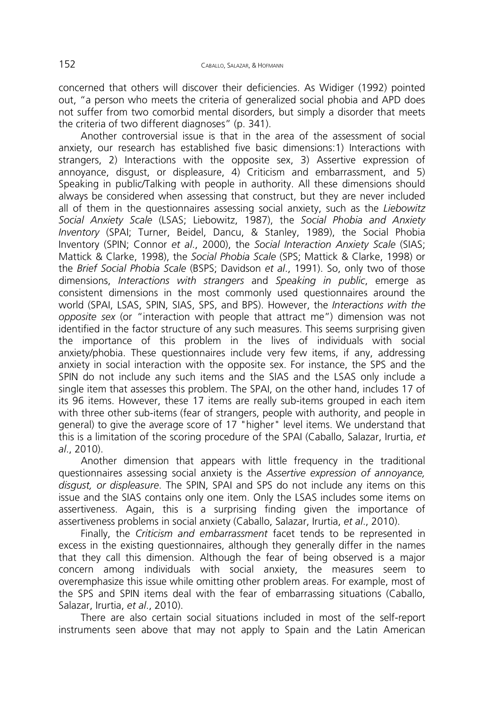concerned that others will discover their deficiencies. As Widiger (1992) pointed out, "a person who meets the criteria of generalized social phobia and APD does not suffer from two comorbid mental disorders, but simply a disorder that meets the criteria of two different diagnoses" (p. 341).

Another controversial issue is that in the area of the assessment of social anxiety, our research has established five basic dimensions:1) Interactions with strangers, 2) Interactions with the opposite sex, 3) Assertive expression of annoyance, disgust, or displeasure, 4) Criticism and embarrassment, and 5) Speaking in public/Talking with people in authority. All these dimensions should always be considered when assessing that construct, but they are never included all of them in the questionnaires assessing social anxiety, such as the *Liebowitz Social Anxiety Scale* (LSAS; Liebowitz, 1987), the *Social Phobia and Anxiety Inventory* (SPAI; Turner, Beidel, Dancu, & Stanley, 1989), the Social Phobia Inventory (SPIN; Connor *et al*., 2000), the *Social Interaction Anxiety Scale* (SIAS; Mattick & Clarke, 1998), the *Social Phobia Scale* (SPS; Mattick & Clarke, 1998) or the *Brief Social Phobia Scale* (BSPS; Davidson *et al*., 1991). So, only two of those dimensions, *Interactions with strangers* and *Speaking in public*, emerge as consistent dimensions in the most commonly used questionnaires around the world (SPAI, LSAS, SPIN, SIAS, SPS, and BPS). However, the *Interactions with the opposite sex* (or "interaction with people that attract me") dimension was not identified in the factor structure of any such measures. This seems surprising given the importance of this problem in the lives of individuals with social anxiety/phobia. These questionnaires include very few items, if any, addressing anxiety in social interaction with the opposite sex. For instance, the SPS and the SPIN do not include any such items and the SIAS and the LSAS only include a single item that assesses this problem. The SPAI, on the other hand, includes 17 of its 96 items. However, these 17 items are really sub-items grouped in each item with three other sub-items (fear of strangers, people with authority, and people in general) to give the average score of 17 "higher" level items. We understand that this is a limitation of the scoring procedure of the SPAI (Caballo, Salazar, Irurtia, *et al*., 2010).

Another dimension that appears with little frequency in the traditional questionnaires assessing social anxiety is the *Assertive expression of annoyance, disgust, or displeasure*. The SPIN, SPAI and SPS do not include any items on this issue and the SIAS contains only one item. Only the LSAS includes some items on assertiveness. Again, this is a surprising finding given the importance of assertiveness problems in social anxiety (Caballo, Salazar, Irurtia, *et al*., 2010).

Finally, the *Criticism and embarrassment* facet tends to be represented in excess in the existing questionnaires, although they generally differ in the names that they call this dimension. Although the fear of being observed is a major concern among individuals with social anxiety, the measures seem to overemphasize this issue while omitting other problem areas. For example, most of the SPS and SPIN items deal with the fear of embarrassing situations (Caballo, Salazar, Irurtia, *et al*., 2010).

There are also certain social situations included in most of the self-report instruments seen above that may not apply to Spain and the Latin American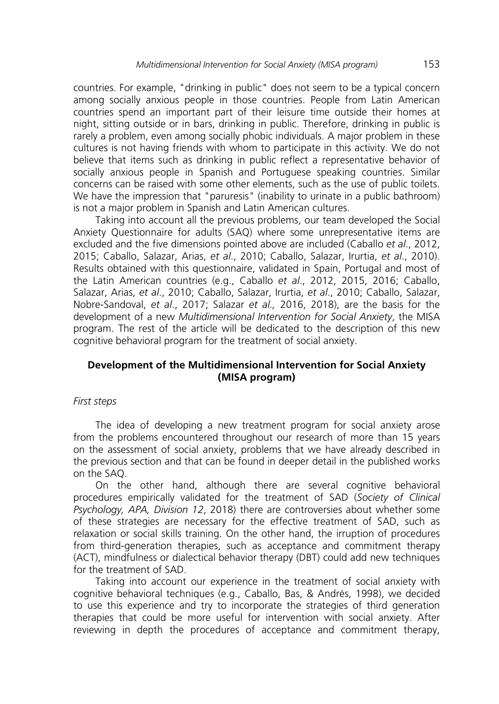countries. For example, "drinking in public" does not seem to be a typical concern among socially anxious people in those countries. People from Latin American countries spend an important part of their leisure time outside their homes at night, sitting outside or in bars, drinking in public. Therefore, drinking in public is rarely a problem, even among socially phobic individuals. A major problem in these cultures is not having friends with whom to participate in this activity. We do not believe that items such as drinking in public reflect a representative behavior of socially anxious people in Spanish and Portuguese speaking countries. Similar concerns can be raised with some other elements, such as the use of public toilets. We have the impression that "paruresis" (inability to urinate in a public bathroom) is not a major problem in Spanish and Latin American cultures.

Taking into account all the previous problems, our team developed the Social Anxiety Questionnaire for adults (SAQ) where some unrepresentative items are excluded and the five dimensions pointed above are included (Caballo *et al*., 2012, 2015; Caballo, Salazar, Arias, *et al*., 2010; Caballo, Salazar, Irurtia, *et al*., 2010). Results obtained with this questionnaire, validated in Spain, Portugal and most of the Latin American countries (e.g., Caballo *et al*., 2012, 2015, 2016; Caballo, Salazar, Arias, *et al*., 2010; Caballo, Salazar, Irurtia, *et al*., 2010; Caballo, Salazar, Nobre-Sandoval, *et al*., 2017; Salazar *et al.,* 2016, 2018), are the basis for the development of a new *Multidimensional Intervention for Social Anxiety*, the MISA program. The rest of the article will be dedicated to the description of this new cognitive behavioral program for the treatment of social anxiety.

# **Development of the Multidimensional Intervention for Social Anxiety (MISA program)**

### *First steps*

The idea of developing a new treatment program for social anxiety arose from the problems encountered throughout our research of more than 15 years on the assessment of social anxiety, problems that we have already described in the previous section and that can be found in deeper detail in the published works on the SAQ.

On the other hand, although there are several cognitive behavioral procedures empirically validated for the treatment of SAD (*Society of Clinical Psychology, APA, Division 12*, 2018) there are controversies about whether some of these strategies are necessary for the effective treatment of SAD, such as relaxation or social skills training. On the other hand, the irruption of procedures from third-generation therapies, such as acceptance and commitment therapy (ACT), mindfulness or dialectical behavior therapy (DBT) could add new techniques for the treatment of SAD.

Taking into account our experience in the treatment of social anxiety with cognitive behavioral techniques (e.g., Caballo, Bas, & Andrés, 1998), we decided to use this experience and try to incorporate the strategies of third generation therapies that could be more useful for intervention with social anxiety. After reviewing in depth the procedures of acceptance and commitment therapy,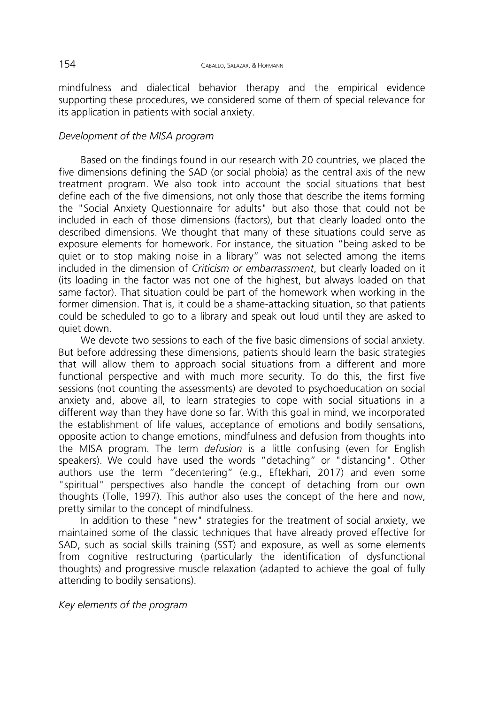mindfulness and dialectical behavior therapy and the empirical evidence supporting these procedures, we considered some of them of special relevance for its application in patients with social anxiety.

# *Development of the MISA program*

Based on the findings found in our research with 20 countries, we placed the five dimensions defining the SAD (or social phobia) as the central axis of the new treatment program. We also took into account the social situations that best define each of the five dimensions, not only those that describe the items forming the "Social Anxiety Questionnaire for adults" but also those that could not be included in each of those dimensions (factors), but that clearly loaded onto the described dimensions. We thought that many of these situations could serve as exposure elements for homework. For instance, the situation "being asked to be quiet or to stop making noise in a library" was not selected among the items included in the dimension of *Criticism or embarrassment*, but clearly loaded on it (its loading in the factor was not one of the highest, but always loaded on that same factor). That situation could be part of the homework when working in the former dimension. That is, it could be a shame-attacking situation, so that patients could be scheduled to go to a library and speak out loud until they are asked to quiet down.

We devote two sessions to each of the five basic dimensions of social anxiety. But before addressing these dimensions, patients should learn the basic strategies that will allow them to approach social situations from a different and more functional perspective and with much more security. To do this, the first five sessions (not counting the assessments) are devoted to psychoeducation on social anxiety and, above all, to learn strategies to cope with social situations in a different way than they have done so far. With this goal in mind, we incorporated the establishment of life values, acceptance of emotions and bodily sensations, opposite action to change emotions, mindfulness and defusion from thoughts into the MISA program. The term *defusion* is a little confusing (even for English speakers). We could have used the words "detaching" or "distancing". Other authors use the term "decentering" (e.g., Eftekhari, 2017) and even some "spiritual" perspectives also handle the concept of detaching from our own thoughts (Tolle, 1997). This author also uses the concept of the here and now, pretty similar to the concept of mindfulness.

In addition to these "new" strategies for the treatment of social anxiety, we maintained some of the classic techniques that have already proved effective for SAD, such as social skills training (SST) and exposure, as well as some elements from cognitive restructuring (particularly the identification of dysfunctional thoughts) and progressive muscle relaxation (adapted to achieve the goal of fully attending to bodily sensations).

*Key elements of the program*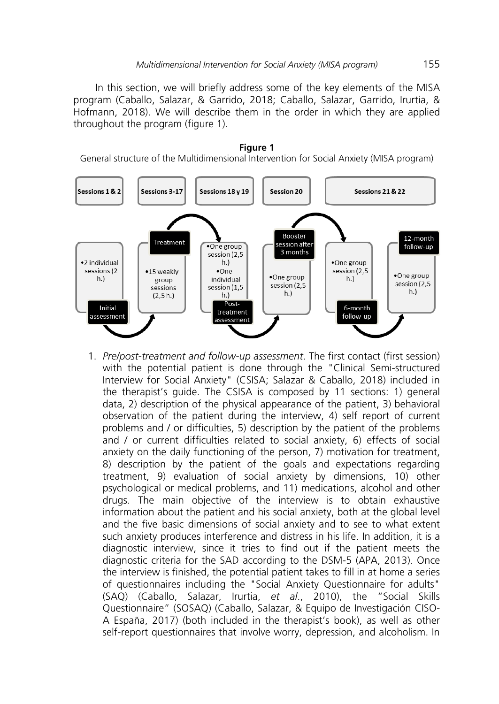In this section, we will briefly address some of the key elements of the MISA program (Caballo, Salazar, & Garrido, 2018; Caballo, Salazar, Garrido, Irurtia, & Hofmann, 2018). We will describe them in the order in which they are applied throughout the program (figure 1).



1. *Pre/post-treatment and follow-up assessment*. The first contact (first session) with the potential patient is done through the "Clinical Semi-structured Interview for Social Anxiety" (CSISA; Salazar & Caballo, 2018) included in the therapist's guide. The CSISA is composed by 11 sections: 1) general data, 2) description of the physical appearance of the patient, 3) behavioral observation of the patient during the interview, 4) self report of current problems and / or difficulties, 5) description by the patient of the problems and / or current difficulties related to social anxiety, 6) effects of social anxiety on the daily functioning of the person, 7) motivation for treatment, 8) description by the patient of the goals and expectations regarding treatment, 9) evaluation of social anxiety by dimensions, 10) other psychological or medical problems, and 11) medications, alcohol and other drugs. The main objective of the interview is to obtain exhaustive information about the patient and his social anxiety, both at the global level and the five basic dimensions of social anxiety and to see to what extent such anxiety produces interference and distress in his life. In addition, it is a diagnostic interview, since it tries to find out if the patient meets the diagnostic criteria for the SAD according to the DSM-5 (APA, 2013). Once the interview is finished, the potential patient takes to fill in at home a series of questionnaires including the "Social Anxiety Questionnaire for adults" (SAQ) (Caballo, Salazar, Irurtia, *et al*., 2010), the "Social Skills Questionnaire" (SOSAQ) (Caballo, Salazar, & Equipo de Investigación CISO-A España, 2017) (both included in the therapist's book), as well as other self-report questionnaires that involve worry, depression, and alcoholism. In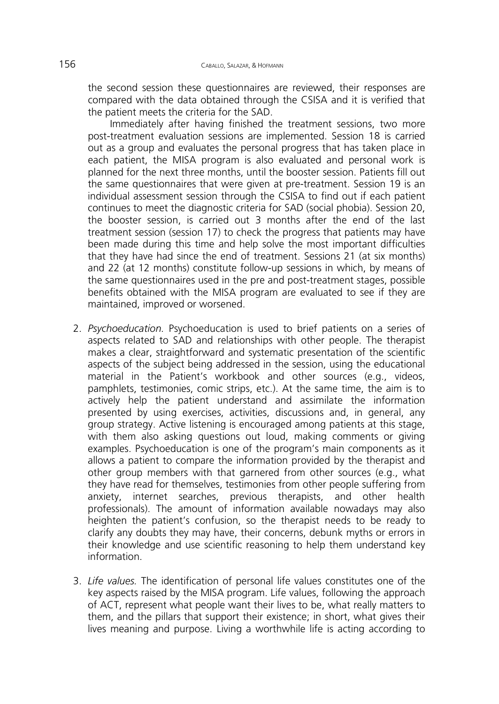the second session these questionnaires are reviewed, their responses are compared with the data obtained through the CSISA and it is verified that the patient meets the criteria for the SAD.

Immediately after having finished the treatment sessions, two more post-treatment evaluation sessions are implemented. Session 18 is carried out as a group and evaluates the personal progress that has taken place in each patient, the MISA program is also evaluated and personal work is planned for the next three months, until the booster session. Patients fill out the same questionnaires that were given at pre-treatment. Session 19 is an individual assessment session through the CSISA to find out if each patient continues to meet the diagnostic criteria for SAD (social phobia). Session 20, the booster session, is carried out 3 months after the end of the last treatment session (session 17) to check the progress that patients may have been made during this time and help solve the most important difficulties that they have had since the end of treatment. Sessions 21 (at six months) and 22 (at 12 months) constitute follow-up sessions in which, by means of the same questionnaires used in the pre and post-treatment stages, possible benefits obtained with the MISA program are evaluated to see if they are maintained, improved or worsened.

- 2. *Psychoeducation.* Psychoeducation is used to brief patients on a series of aspects related to SAD and relationships with other people. The therapist makes a clear, straightforward and systematic presentation of the scientific aspects of the subject being addressed in the session, using the educational material in the Patient's workbook and other sources (e.g., videos, pamphlets, testimonies, comic strips, etc.). At the same time, the aim is to actively help the patient understand and assimilate the information presented by using exercises, activities, discussions and, in general, any group strategy. Active listening is encouraged among patients at this stage, with them also asking questions out loud, making comments or giving examples. Psychoeducation is one of the program's main components as it allows a patient to compare the information provided by the therapist and other group members with that garnered from other sources (e.g., what they have read for themselves, testimonies from other people suffering from anxiety, internet searches, previous therapists, and other health professionals). The amount of information available nowadays may also heighten the patient's confusion, so the therapist needs to be ready to clarify any doubts they may have, their concerns, debunk myths or errors in their knowledge and use scientific reasoning to help them understand key information.
- 3. *Life values.* The identification of personal life values constitutes one of the key aspects raised by the MISA program. Life values, following the approach of ACT, represent what people want their lives to be, what really matters to them, and the pillars that support their existence; in short, what gives their lives meaning and purpose. Living a worthwhile life is acting according to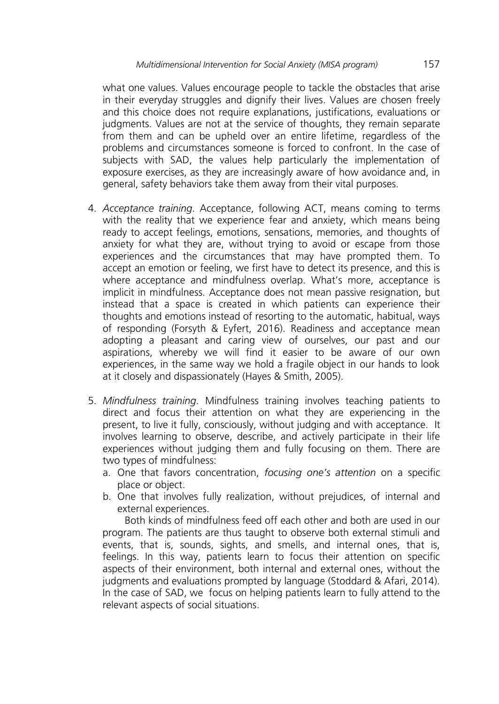what one values. Values encourage people to tackle the obstacles that arise in their everyday struggles and dignify their lives. Values are chosen freely and this choice does not require explanations, justifications, evaluations or judgments. Values are not at the service of thoughts, they remain separate from them and can be upheld over an entire lifetime, regardless of the problems and circumstances someone is forced to confront. In the case of subjects with SAD, the values help particularly the implementation of exposure exercises, as they are increasingly aware of how avoidance and, in general, safety behaviors take them away from their vital purposes.

- 4. *Acceptance training*. Acceptance, following ACT, means coming to terms with the reality that we experience fear and anxiety, which means being ready to accept feelings, emotions, sensations, memories, and thoughts of anxiety for what they are, without trying to avoid or escape from those experiences and the circumstances that may have prompted them. To accept an emotion or feeling, we first have to detect its presence, and this is where acceptance and mindfulness overlap. What's more, acceptance is implicit in mindfulness. Acceptance does not mean passive resignation, but instead that a space is created in which patients can experience their thoughts and emotions instead of resorting to the automatic, habitual, ways of responding (Forsyth & Eyfert, 2016). Readiness and acceptance mean adopting a pleasant and caring view of ourselves, our past and our aspirations, whereby we will find it easier to be aware of our own experiences, in the same way we hold a fragile object in our hands to look at it closely and dispassionately (Hayes & Smith, 2005).
- 5. *Mindfulness training*. Mindfulness training involves teaching patients to direct and focus their attention on what they are experiencing in the present, to live it fully, consciously, without judging and with acceptance. It involves learning to observe, describe, and actively participate in their life experiences without judging them and fully focusing on them. There are two types of mindfulness:
	- a. One that favors concentration, *focusing one's attention* on a specific place or object.
	- b. One that involves fully realization, without prejudices, of internal and external experiences.

Both kinds of mindfulness feed off each other and both are used in our program. The patients are thus taught to observe both external stimuli and events, that is, sounds, sights, and smells, and internal ones, that is, feelings. In this way, patients learn to focus their attention on specific aspects of their environment, both internal and external ones, without the judgments and evaluations prompted by language (Stoddard & Afari, 2014). In the case of SAD, we focus on helping patients learn to fully attend to the relevant aspects of social situations.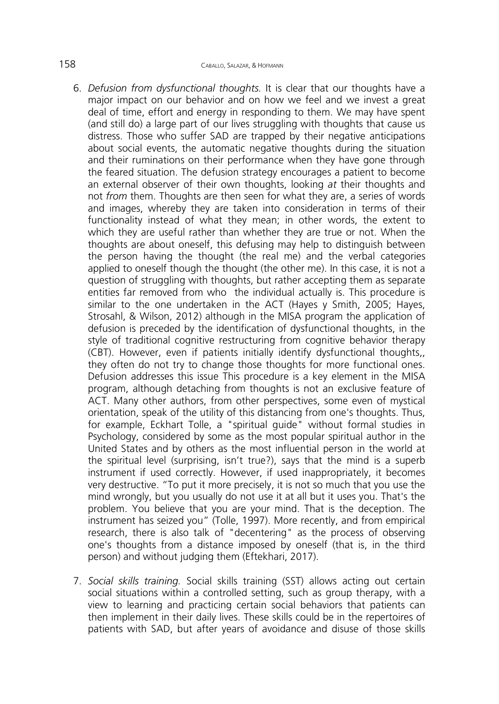- 6. *Defusion from dysfunctional thoughts.* It is clear that our thoughts have a major impact on our behavior and on how we feel and we invest a great deal of time, effort and energy in responding to them. We may have spent (and still do) a large part of our lives struggling with thoughts that cause us distress. Those who suffer SAD are trapped by their negative anticipations about social events, the automatic negative thoughts during the situation and their ruminations on their performance when they have gone through the feared situation. The defusion strategy encourages a patient to become an external observer of their own thoughts, looking *at* their thoughts and not *from* them. Thoughts are then seen for what they are, a series of words and images, whereby they are taken into consideration in terms of their functionality instead of what they mean; in other words, the extent to which they are useful rather than whether they are true or not. When the thoughts are about oneself, this defusing may help to distinguish between the person having the thought (the real me) and the verbal categories applied to oneself though the thought (the other me). In this case, it is not a question of struggling with thoughts, but rather accepting them as separate entities far removed from who the individual actually is. This procedure is similar to the one undertaken in the ACT (Hayes y Smith, 2005; Hayes, Strosahl, & Wilson, 2012) although in the MISA program the application of defusion is preceded by the identification of dysfunctional thoughts, in the style of traditional cognitive restructuring from cognitive behavior therapy (CBT). However, even if patients initially identify dysfunctional thoughts,, they often do not try to change those thoughts for more functional ones. Defusion addresses this issue This procedure is a key element in the MISA program, although detaching from thoughts is not an exclusive feature of ACT. Many other authors, from other perspectives, some even of mystical orientation, speak of the utility of this distancing from one's thoughts. Thus, for example, Eckhart Tolle, a "spiritual guide" without formal studies in Psychology, considered by some as the most popular spiritual author in the United States and by others as the most influential person in the world at the spiritual level (surprising, isn't true?), says that the mind is a superb instrument if used correctly. However, if used inappropriately, it becomes very destructive. "To put it more precisely, it is not so much that you use the mind wrongly, but you usually do not use it at all but it uses you. That's the problem. You believe that you are your mind. That is the deception. The instrument has seized you" (Tolle, 1997). More recently, and from empirical research, there is also talk of "decentering" as the process of observing one's thoughts from a distance imposed by oneself (that is, in the third person) and without judging them (Eftekhari, 2017).
- 7. *Social skills training.* Social skills training (SST) allows acting out certain social situations within a controlled setting, such as group therapy, with a view to learning and practicing certain social behaviors that patients can then implement in their daily lives. These skills could be in the repertoires of patients with SAD, but after years of avoidance and disuse of those skills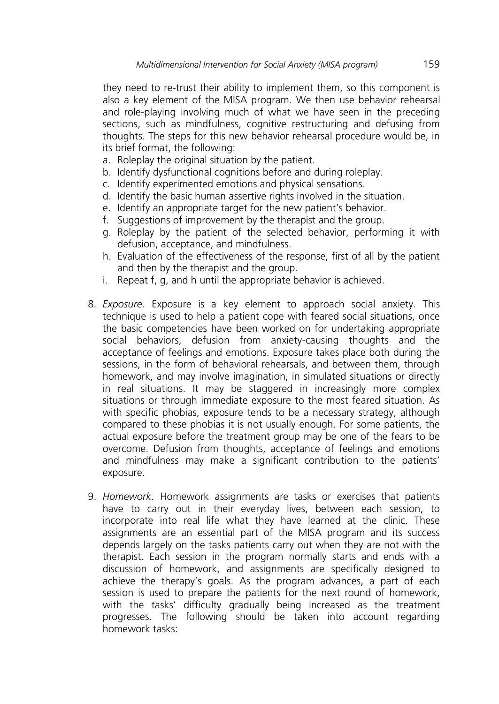they need to re-trust their ability to implement them, so this component is also a key element of the MISA program. We then use behavior rehearsal and role-playing involving much of what we have seen in the preceding sections, such as mindfulness, cognitive restructuring and defusing from thoughts. The steps for this new behavior rehearsal procedure would be, in its brief format, the following:

- a. Roleplay the original situation by the patient.
- b. Identify dysfunctional cognitions before and during roleplay.
- c. Identify experimented emotions and physical sensations.
- d. Identify the basic human assertive rights involved in the situation.
- e. Identify an appropriate target for the new patient's behavior.
- f. Suggestions of improvement by the therapist and the group.
- g. Roleplay by the patient of the selected behavior, performing it with defusion, acceptance, and mindfulness.
- h. Evaluation of the effectiveness of the response, first of all by the patient and then by the therapist and the group.
- i. Repeat f, g, and h until the appropriate behavior is achieved.
- 8. *Exposure.* Exposure is a key element to approach social anxiety. This technique is used to help a patient cope with feared social situations, once the basic competencies have been worked on for undertaking appropriate social behaviors, defusion from anxiety-causing thoughts and the acceptance of feelings and emotions. Exposure takes place both during the sessions, in the form of behavioral rehearsals, and between them, through homework, and may involve imagination, in simulated situations or directly in real situations. It may be staggered in increasingly more complex situations or through immediate exposure to the most feared situation. As with specific phobias, exposure tends to be a necessary strategy, although compared to these phobias it is not usually enough. For some patients, the actual exposure before the treatment group may be one of the fears to be overcome. Defusion from thoughts, acceptance of feelings and emotions and mindfulness may make a significant contribution to the patients' exposure.
- 9. *Homework.* Homework assignments are tasks or exercises that patients have to carry out in their everyday lives, between each session, to incorporate into real life what they have learned at the clinic. These assignments are an essential part of the MISA program and its success depends largely on the tasks patients carry out when they are not with the therapist. Each session in the program normally starts and ends with a discussion of homework, and assignments are specifically designed to achieve the therapy's goals. As the program advances, a part of each session is used to prepare the patients for the next round of homework, with the tasks' difficulty gradually being increased as the treatment progresses. The following should be taken into account regarding homework tasks: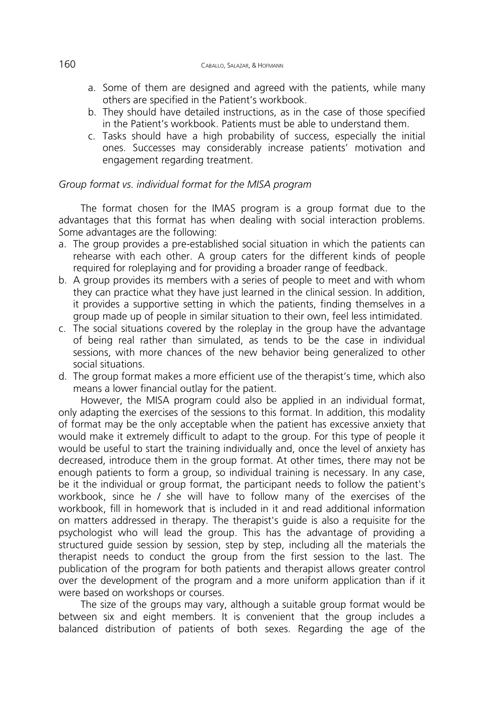- a. Some of them are designed and agreed with the patients, while many others are specified in the Patient's workbook.
- b. They should have detailed instructions, as in the case of those specified in the Patient's workbook. Patients must be able to understand them.
- c. Tasks should have a high probability of success, especially the initial ones. Successes may considerably increase patients' motivation and engagement regarding treatment.

# *Group format vs. individual format for the MISA program*

The format chosen for the IMAS program is a group format due to the advantages that this format has when dealing with social interaction problems. Some advantages are the following:

- a. The group provides a pre-established social situation in which the patients can rehearse with each other. A group caters for the different kinds of people required for roleplaying and for providing a broader range of feedback.
- b. A group provides its members with a series of people to meet and with whom they can practice what they have just learned in the clinical session. In addition, it provides a supportive setting in which the patients, finding themselves in a group made up of people in similar situation to their own, feel less intimidated.
- c. The social situations covered by the roleplay in the group have the advantage of being real rather than simulated, as tends to be the case in individual sessions, with more chances of the new behavior being generalized to other social situations.
- d. The group format makes a more efficient use of the therapist's time, which also means a lower financial outlay for the patient.

However, the MISA program could also be applied in an individual format, only adapting the exercises of the sessions to this format. In addition, this modality of format may be the only acceptable when the patient has excessive anxiety that would make it extremely difficult to adapt to the group. For this type of people it would be useful to start the training individually and, once the level of anxiety has decreased, introduce them in the group format. At other times, there may not be enough patients to form a group, so individual training is necessary. In any case, be it the individual or group format, the participant needs to follow the patient's workbook, since he / she will have to follow many of the exercises of the workbook, fill in homework that is included in it and read additional information on matters addressed in therapy. The therapist's guide is also a requisite for the psychologist who will lead the group. This has the advantage of providing a structured guide session by session, step by step, including all the materials the therapist needs to conduct the group from the first session to the last. The publication of the program for both patients and therapist allows greater control over the development of the program and a more uniform application than if it were based on workshops or courses.

The size of the groups may vary, although a suitable group format would be between six and eight members. It is convenient that the group includes a balanced distribution of patients of both sexes. Regarding the age of the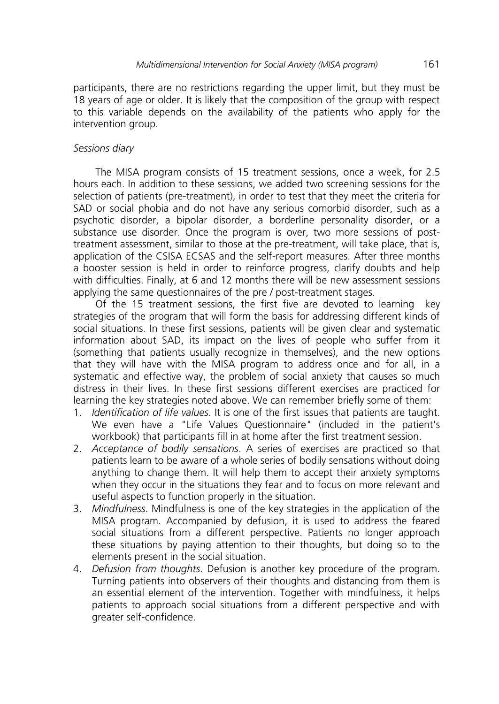participants, there are no restrictions regarding the upper limit, but they must be 18 years of age or older. It is likely that the composition of the group with respect to this variable depends on the availability of the patients who apply for the intervention group.

# *Sessions diary*

The MISA program consists of 15 treatment sessions, once a week, for 2.5 hours each. In addition to these sessions, we added two screening sessions for the selection of patients (pre-treatment), in order to test that they meet the criteria for SAD or social phobia and do not have any serious comorbid disorder, such as a psychotic disorder, a bipolar disorder, a borderline personality disorder, or a substance use disorder. Once the program is over, two more sessions of posttreatment assessment, similar to those at the pre-treatment, will take place, that is, application of the CSISA ECSAS and the self-report measures. After three months a booster session is held in order to reinforce progress, clarify doubts and help with difficulties. Finally, at 6 and 12 months there will be new assessment sessions applying the same questionnaires of the pre / post-treatment stages.

Of the 15 treatment sessions, the first five are devoted to learning key strategies of the program that will form the basis for addressing different kinds of social situations. In these first sessions, patients will be given clear and systematic information about SAD, its impact on the lives of people who suffer from it (something that patients usually recognize in themselves), and the new options that they will have with the MISA program to address once and for all, in a systematic and effective way, the problem of social anxiety that causes so much distress in their lives. In these first sessions different exercises are practiced for learning the key strategies noted above. We can remember briefly some of them:

- 1. *Identification of life values*. It is one of the first issues that patients are taught. We even have a "Life Values Questionnaire" (included in the patient's workbook) that participants fill in at home after the first treatment session.
- 2. *Acceptance of bodily sensations*. A series of exercises are practiced so that patients learn to be aware of a whole series of bodily sensations without doing anything to change them. It will help them to accept their anxiety symptoms when they occur in the situations they fear and to focus on more relevant and useful aspects to function properly in the situation.
- 3. *Mindfulness*. Mindfulness is one of the key strategies in the application of the MISA program. Accompanied by defusion, it is used to address the feared social situations from a different perspective. Patients no longer approach these situations by paying attention to their thoughts, but doing so to the elements present in the social situation.
- 4. *Defusion from thoughts*. Defusion is another key procedure of the program. Turning patients into observers of their thoughts and distancing from them is an essential element of the intervention. Together with mindfulness, it helps patients to approach social situations from a different perspective and with greater self-confidence.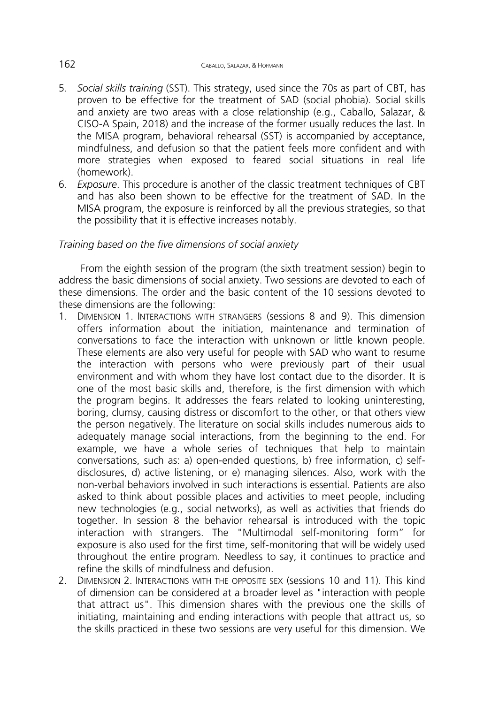- 5. *Social skills training* (SST). This strategy, used since the 70s as part of CBT, has proven to be effective for the treatment of SAD (social phobia). Social skills and anxiety are two areas with a close relationship (e.g., Caballo, Salazar, & CISO-A Spain, 2018) and the increase of the former usually reduces the last. In the MISA program, behavioral rehearsal (SST) is accompanied by acceptance, mindfulness, and defusion so that the patient feels more confident and with more strategies when exposed to feared social situations in real life (homework).
- 6. *Exposure*. This procedure is another of the classic treatment techniques of CBT and has also been shown to be effective for the treatment of SAD. In the MISA program, the exposure is reinforced by all the previous strategies, so that the possibility that it is effective increases notably.

# *Training based on the five dimensions of social anxiety*

From the eighth session of the program (the sixth treatment session) begin to address the basic dimensions of social anxiety. Two sessions are devoted to each of these dimensions. The order and the basic content of the 10 sessions devoted to these dimensions are the following:

- 1. DIMENSION 1. INTERACTIONS WITH STRANGERS (sessions 8 and 9). This dimension offers information about the initiation, maintenance and termination of conversations to face the interaction with unknown or little known people. These elements are also very useful for people with SAD who want to resume the interaction with persons who were previously part of their usual environment and with whom they have lost contact due to the disorder. It is one of the most basic skills and, therefore, is the first dimension with which the program begins. It addresses the fears related to looking uninteresting, boring, clumsy, causing distress or discomfort to the other, or that others view the person negatively. The literature on social skills includes numerous aids to adequately manage social interactions, from the beginning to the end. For example, we have a whole series of techniques that help to maintain conversations, such as: a) open-ended questions, b) free information, c) selfdisclosures, d) active listening, or e) managing silences. Also, work with the non-verbal behaviors involved in such interactions is essential. Patients are also asked to think about possible places and activities to meet people, including new technologies (e.g., social networks), as well as activities that friends do together. In session 8 the behavior rehearsal is introduced with the topic interaction with strangers. The "Multimodal self-monitoring form" for exposure is also used for the first time, self-monitoring that will be widely used throughout the entire program. Needless to say, it continues to practice and refine the skills of mindfulness and defusion.
- 2. DIMENSION 2. INTERACTIONS WITH THE OPPOSITE SEX (sessions 10 and 11). This kind of dimension can be considered at a broader level as "interaction with people that attract us". This dimension shares with the previous one the skills of initiating, maintaining and ending interactions with people that attract us, so the skills practiced in these two sessions are very useful for this dimension. We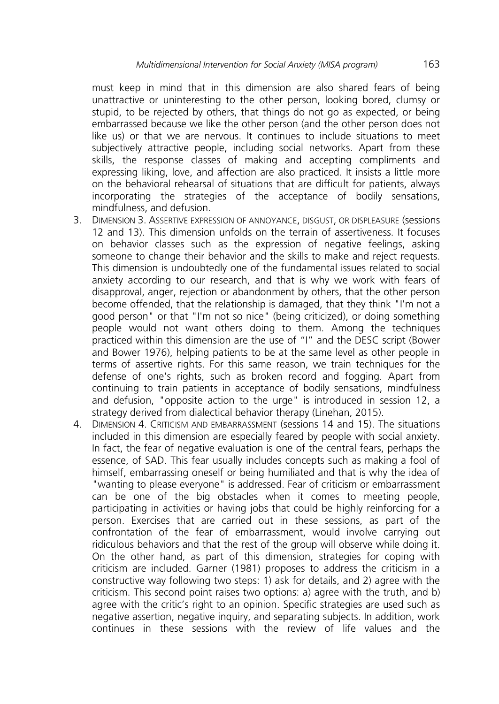must keep in mind that in this dimension are also shared fears of being unattractive or uninteresting to the other person, looking bored, clumsy or stupid, to be rejected by others, that things do not go as expected, or being embarrassed because we like the other person (and the other person does not like us) or that we are nervous. It continues to include situations to meet subjectively attractive people, including social networks. Apart from these skills, the response classes of making and accepting compliments and expressing liking, love, and affection are also practiced. It insists a little more on the behavioral rehearsal of situations that are difficult for patients, always incorporating the strategies of the acceptance of bodily sensations, mindfulness, and defusion.

- 3. DIMENSION 3. ASSERTIVE EXPRESSION OF ANNOYANCE, DISGUST, OR DISPLEASURE (sessions 12 and 13). This dimension unfolds on the terrain of assertiveness. It focuses on behavior classes such as the expression of negative feelings, asking someone to change their behavior and the skills to make and reject requests. This dimension is undoubtedly one of the fundamental issues related to social anxiety according to our research, and that is why we work with fears of disapproval, anger, rejection or abandonment by others, that the other person become offended, that the relationship is damaged, that they think "I'm not a good person" or that "I'm not so nice" (being criticized), or doing something people would not want others doing to them. Among the techniques practiced within this dimension are the use of "I" and the DESC script (Bower and Bower 1976), helping patients to be at the same level as other people in terms of assertive rights. For this same reason, we train techniques for the defense of one's rights, such as broken record and fogging. Apart from continuing to train patients in acceptance of bodily sensations, mindfulness and defusion, "opposite action to the urge" is introduced in session 12, a strategy derived from dialectical behavior therapy (Linehan, 2015).
- 4. DIMENSION 4. CRITICISM AND EMBARRASSMENT (sessions 14 and 15). The situations included in this dimension are especially feared by people with social anxiety. In fact, the fear of negative evaluation is one of the central fears, perhaps the essence, of SAD. This fear usually includes concepts such as making a fool of himself, embarrassing oneself or being humiliated and that is why the idea of "wanting to please everyone" is addressed. Fear of criticism or embarrassment can be one of the big obstacles when it comes to meeting people, participating in activities or having jobs that could be highly reinforcing for a person. Exercises that are carried out in these sessions, as part of the confrontation of the fear of embarrassment, would involve carrying out ridiculous behaviors and that the rest of the group will observe while doing it. On the other hand, as part of this dimension, strategies for coping with criticism are included. Garner (1981) proposes to address the criticism in a constructive way following two steps: 1) ask for details, and 2) agree with the criticism. This second point raises two options: a) agree with the truth, and b) agree with the critic's right to an opinion. Specific strategies are used such as negative assertion, negative inquiry, and separating subjects. In addition, work continues in these sessions with the review of life values and the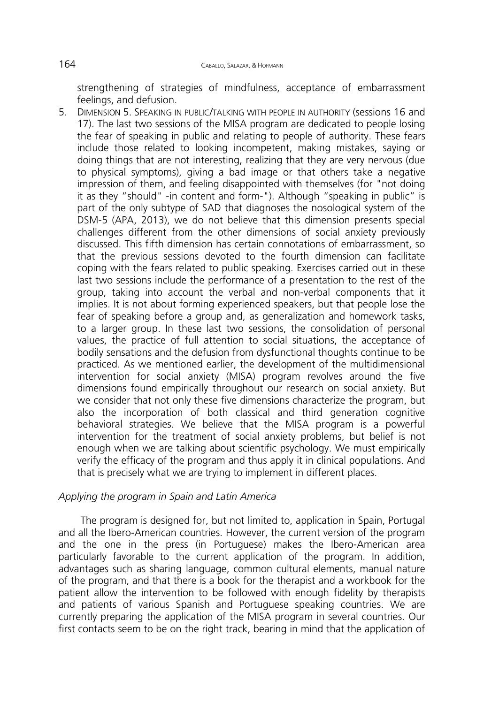strengthening of strategies of mindfulness, acceptance of embarrassment feelings, and defusion.

5. DIMENSION 5. SPEAKING IN PUBLIC/TALKING WITH PEOPLE IN AUTHORITY (sessions 16 and 17). The last two sessions of the MISA program are dedicated to people losing the fear of speaking in public and relating to people of authority. These fears include those related to looking incompetent, making mistakes, saying or doing things that are not interesting, realizing that they are very nervous (due to physical symptoms), giving a bad image or that others take a negative impression of them, and feeling disappointed with themselves (for "not doing it as they "should" -in content and form-"). Although "speaking in public" is part of the only subtype of SAD that diagnoses the nosological system of the DSM-5 (APA, 2013), we do not believe that this dimension presents special challenges different from the other dimensions of social anxiety previously discussed. This fifth dimension has certain connotations of embarrassment, so that the previous sessions devoted to the fourth dimension can facilitate coping with the fears related to public speaking. Exercises carried out in these last two sessions include the performance of a presentation to the rest of the group, taking into account the verbal and non-verbal components that it implies. It is not about forming experienced speakers, but that people lose the fear of speaking before a group and, as generalization and homework tasks, to a larger group. In these last two sessions, the consolidation of personal values, the practice of full attention to social situations, the acceptance of bodily sensations and the defusion from dysfunctional thoughts continue to be practiced. As we mentioned earlier, the development of the multidimensional intervention for social anxiety (MISA) program revolves around the five dimensions found empirically throughout our research on social anxiety. But we consider that not only these five dimensions characterize the program, but also the incorporation of both classical and third generation cognitive behavioral strategies. We believe that the MISA program is a powerful intervention for the treatment of social anxiety problems, but belief is not enough when we are talking about scientific psychology. We must empirically verify the efficacy of the program and thus apply it in clinical populations. And that is precisely what we are trying to implement in different places.

# *Applying the program in Spain and Latin America*

The program is designed for, but not limited to, application in Spain, Portugal and all the Ibero-American countries. However, the current version of the program and the one in the press (in Portuguese) makes the Ibero-American area particularly favorable to the current application of the program. In addition, advantages such as sharing language, common cultural elements, manual nature of the program, and that there is a book for the therapist and a workbook for the patient allow the intervention to be followed with enough fidelity by therapists and patients of various Spanish and Portuguese speaking countries. We are currently preparing the application of the MISA program in several countries. Our first contacts seem to be on the right track, bearing in mind that the application of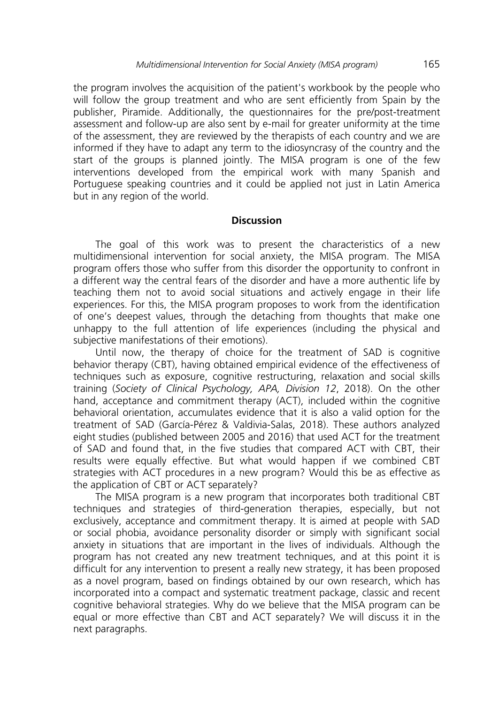the program involves the acquisition of the patient's workbook by the people who will follow the group treatment and who are sent efficiently from Spain by the publisher, Piramide. Additionally, the questionnaires for the pre/post-treatment assessment and follow-up are also sent by e-mail for greater uniformity at the time of the assessment, they are reviewed by the therapists of each country and we are informed if they have to adapt any term to the idiosyncrasy of the country and the start of the groups is planned jointly. The MISA program is one of the few interventions developed from the empirical work with many Spanish and Portuguese speaking countries and it could be applied not just in Latin America but in any region of the world.

### **Discussion**

The goal of this work was to present the characteristics of a new multidimensional intervention for social anxiety, the MISA program. The MISA program offers those who suffer from this disorder the opportunity to confront in a different way the central fears of the disorder and have a more authentic life by teaching them not to avoid social situations and actively engage in their life experiences. For this, the MISA program proposes to work from the identification of one's deepest values, through the detaching from thoughts that make one unhappy to the full attention of life experiences (including the physical and subjective manifestations of their emotions).

Until now, the therapy of choice for the treatment of SAD is cognitive behavior therapy (CBT), having obtained empirical evidence of the effectiveness of techniques such as exposure, cognitive restructuring, relaxation and social skills training (*Society of Clinical Psychology, APA, Division 12*, 2018). On the other hand, acceptance and commitment therapy (ACT), included within the cognitive behavioral orientation, accumulates evidence that it is also a valid option for the treatment of SAD (García-Pérez & Valdivia-Salas, 2018). These authors analyzed eight studies (published between 2005 and 2016) that used ACT for the treatment of SAD and found that, in the five studies that compared ACT with CBT, their results were equally effective. But what would happen if we combined CBT strategies with ACT procedures in a new program? Would this be as effective as the application of CBT or ACT separately?

The MISA program is a new program that incorporates both traditional CBT techniques and strategies of third-generation therapies, especially, but not exclusively, acceptance and commitment therapy. It is aimed at people with SAD or social phobia, avoidance personality disorder or simply with significant social anxiety in situations that are important in the lives of individuals. Although the program has not created any new treatment techniques, and at this point it is difficult for any intervention to present a really new strategy, it has been proposed as a novel program, based on findings obtained by our own research, which has incorporated into a compact and systematic treatment package, classic and recent cognitive behavioral strategies. Why do we believe that the MISA program can be equal or more effective than CBT and ACT separately? We will discuss it in the next paragraphs.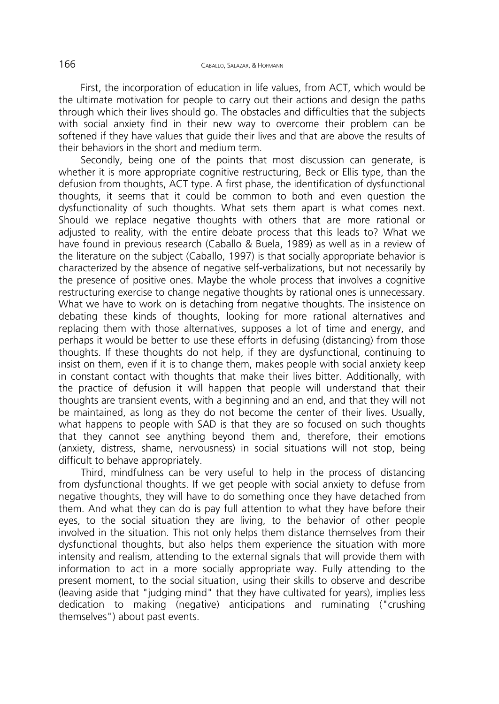First, the incorporation of education in life values, from ACT, which would be the ultimate motivation for people to carry out their actions and design the paths through which their lives should go. The obstacles and difficulties that the subjects with social anxiety find in their new way to overcome their problem can be softened if they have values that guide their lives and that are above the results of their behaviors in the short and medium term.

Secondly, being one of the points that most discussion can generate, is whether it is more appropriate cognitive restructuring, Beck or Ellis type, than the defusion from thoughts, ACT type. A first phase, the identification of dysfunctional thoughts, it seems that it could be common to both and even question the dysfunctionality of such thoughts. What sets them apart is what comes next. Should we replace negative thoughts with others that are more rational or adjusted to reality, with the entire debate process that this leads to? What we have found in previous research (Caballo & Buela, 1989) as well as in a review of the literature on the subject (Caballo, 1997) is that socially appropriate behavior is characterized by the absence of negative self-verbalizations, but not necessarily by the presence of positive ones. Maybe the whole process that involves a cognitive restructuring exercise to change negative thoughts by rational ones is unnecessary. What we have to work on is detaching from negative thoughts. The insistence on debating these kinds of thoughts, looking for more rational alternatives and replacing them with those alternatives, supposes a lot of time and energy, and perhaps it would be better to use these efforts in defusing (distancing) from those thoughts. If these thoughts do not help, if they are dysfunctional, continuing to insist on them, even if it is to change them, makes people with social anxiety keep in constant contact with thoughts that make their lives bitter. Additionally, with the practice of defusion it will happen that people will understand that their thoughts are transient events, with a beginning and an end, and that they will not be maintained, as long as they do not become the center of their lives. Usually, what happens to people with SAD is that they are so focused on such thoughts that they cannot see anything beyond them and, therefore, their emotions (anxiety, distress, shame, nervousness) in social situations will not stop, being difficult to behave appropriately.

Third, mindfulness can be very useful to help in the process of distancing from dysfunctional thoughts. If we get people with social anxiety to defuse from negative thoughts, they will have to do something once they have detached from them. And what they can do is pay full attention to what they have before their eyes, to the social situation they are living, to the behavior of other people involved in the situation. This not only helps them distance themselves from their dysfunctional thoughts, but also helps them experience the situation with more intensity and realism, attending to the external signals that will provide them with information to act in a more socially appropriate way. Fully attending to the present moment, to the social situation, using their skills to observe and describe (leaving aside that "judging mind" that they have cultivated for years), implies less dedication to making (negative) anticipations and ruminating ("crushing themselves") about past events.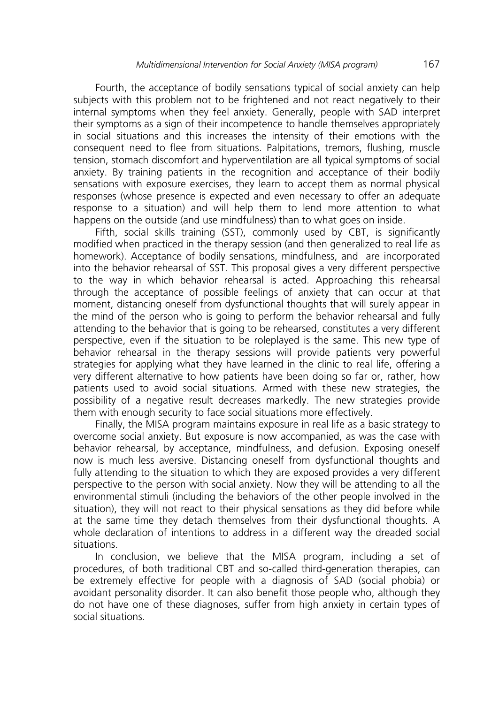Fourth, the acceptance of bodily sensations typical of social anxiety can help subjects with this problem not to be frightened and not react negatively to their internal symptoms when they feel anxiety. Generally, people with SAD interpret their symptoms as a sign of their incompetence to handle themselves appropriately in social situations and this increases the intensity of their emotions with the consequent need to flee from situations. Palpitations, tremors, flushing, muscle tension, stomach discomfort and hyperventilation are all typical symptoms of social anxiety. By training patients in the recognition and acceptance of their bodily sensations with exposure exercises, they learn to accept them as normal physical responses (whose presence is expected and even necessary to offer an adequate response to a situation) and will help them to lend more attention to what happens on the outside (and use mindfulness) than to what goes on inside.

Fifth, social skills training (SST), commonly used by CBT, is significantly modified when practiced in the therapy session (and then generalized to real life as homework). Acceptance of bodily sensations, mindfulness, and are incorporated into the behavior rehearsal of SST. This proposal gives a very different perspective to the way in which behavior rehearsal is acted. Approaching this rehearsal through the acceptance of possible feelings of anxiety that can occur at that moment, distancing oneself from dysfunctional thoughts that will surely appear in the mind of the person who is going to perform the behavior rehearsal and fully attending to the behavior that is going to be rehearsed, constitutes a very different perspective, even if the situation to be roleplayed is the same. This new type of behavior rehearsal in the therapy sessions will provide patients very powerful strategies for applying what they have learned in the clinic to real life, offering a very different alternative to how patients have been doing so far or, rather, how patients used to avoid social situations. Armed with these new strategies, the possibility of a negative result decreases markedly. The new strategies provide them with enough security to face social situations more effectively.

Finally, the MISA program maintains exposure in real life as a basic strategy to overcome social anxiety. But exposure is now accompanied, as was the case with behavior rehearsal, by acceptance, mindfulness, and defusion. Exposing oneself now is much less aversive. Distancing oneself from dysfunctional thoughts and fully attending to the situation to which they are exposed provides a very different perspective to the person with social anxiety. Now they will be attending to all the environmental stimuli (including the behaviors of the other people involved in the situation), they will not react to their physical sensations as they did before while at the same time they detach themselves from their dysfunctional thoughts. A whole declaration of intentions to address in a different way the dreaded social situations.

In conclusion, we believe that the MISA program, including a set of procedures, of both traditional CBT and so-called third-generation therapies, can be extremely effective for people with a diagnosis of SAD (social phobia) or avoidant personality disorder. It can also benefit those people who, although they do not have one of these diagnoses, suffer from high anxiety in certain types of social situations.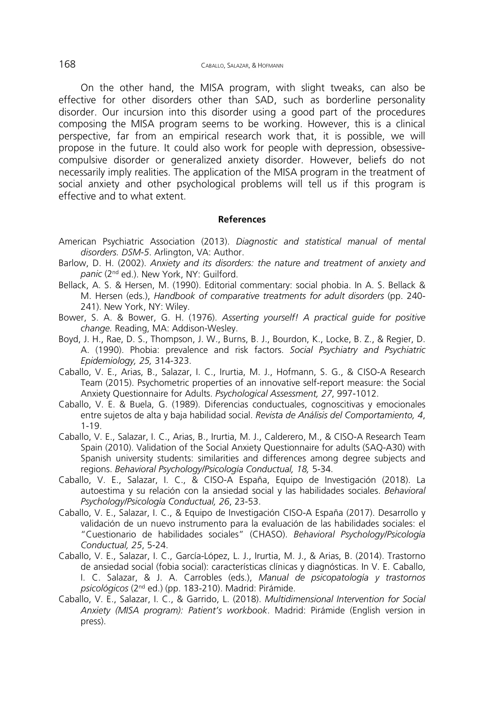On the other hand, the MISA program, with slight tweaks, can also be effective for other disorders other than SAD, such as borderline personality disorder. Our incursion into this disorder using a good part of the procedures composing the MISA program seems to be working. However, this is a clinical perspective, far from an empirical research work that, it is possible, we will propose in the future. It could also work for people with depression, obsessivecompulsive disorder or generalized anxiety disorder. However, beliefs do not necessarily imply realities. The application of the MISA program in the treatment of social anxiety and other psychological problems will tell us if this program is effective and to what extent.

#### **References**

- American Psychiatric Association (2013). *Diagnostic and statistical manual of mental disorders. DSM-5*. Arlington, VA: Author.
- Barlow, D. H. (2002). *Anxiety and its disorders: the nature and treatment of anxiety and panic* (2nd ed.). New York, NY: Guilford.
- Bellack, A. S. & Hersen, M. (1990). Editorial commentary: social phobia. In A. S. Bellack & M. Hersen (eds.), *Handbook of comparative treatments for adult disorders* (pp. 240- 241). New York, NY: Wiley.
- Bower, S. A. & Bower, G. H. (1976). *Asserting yourself! A practical guide for positive change.* Reading, MA: Addison-Wesley.
- Boyd, J. H., Rae, D. S., Thompson, J. W., Burns, B. J., Bourdon, K., Locke, B. Z., & Regier, D. A. (1990). Phobia: prevalence and risk factors. *Social Psychiatry and Psychiatric Epidemiology, 25,* 314-323.
- Caballo, V. E., Arias, B., Salazar, I. C., Irurtia, M. J., Hofmann, S. G., & CISO-A Research Team (2015). Psychometric properties of an innovative self-report measure: the Social Anxiety Questionnaire for Adults. *Psychological Assessment, 27*, 997-1012.
- Caballo, V. E. & Buela, G. (1989). Diferencias conductuales, cognoscitivas y emocionales entre sujetos de alta y baja habilidad social. *Revista de Análisis del Comportamiento, 4*, 1-19.
- Caballo, V. E., Salazar, I. C., Arias, B., Irurtia, M. J., Calderero, M., & CISO-A Research Team Spain (2010). Validation of the Social Anxiety Questionnaire for adults (SAQ-A30) with Spanish university students: similarities and differences among degree subjects and regions. *Behavioral Psychology/Psicología Conductual, 18,* 5-34.
- Caballo, V. E., Salazar, I. C., & CISO-A España, Equipo de Investigación (2018). La autoestima y su relación con la ansiedad social y las habilidades sociales. *Behavioral Psychology/Psicología Conductual, 26*, 23-53.
- Caballo, V. E., Salazar, I. C., & Equipo de Investigación CISO-A España (2017). Desarrollo y validación de un nuevo instrumento para la evaluación de las habilidades sociales: el "Cuestionario de habilidades sociales" (CHASO). *Behavioral Psychology/Psicología Conductual, 25*, 5-24.
- Caballo, V. E., Salazar, I. C., García-López, L. J., Irurtia, M. J., & Arias, B. (2014). Trastorno de ansiedad social (fobia social): características clínicas y diagnósticas. In V. E. Caballo, I. C. Salazar, & J. A. Carrobles (eds.), *Manual de psicopatología y trastornos psicológicos* (2nd ed.) (pp. 183-210). Madrid: Pirámide.
- Caballo, V. E., Salazar, I. C., & Garrido, L. (2018). *Multidimensional Intervention for Social Anxiety (MISA program): Patient's workbook*. Madrid: Pirámide (English version in press).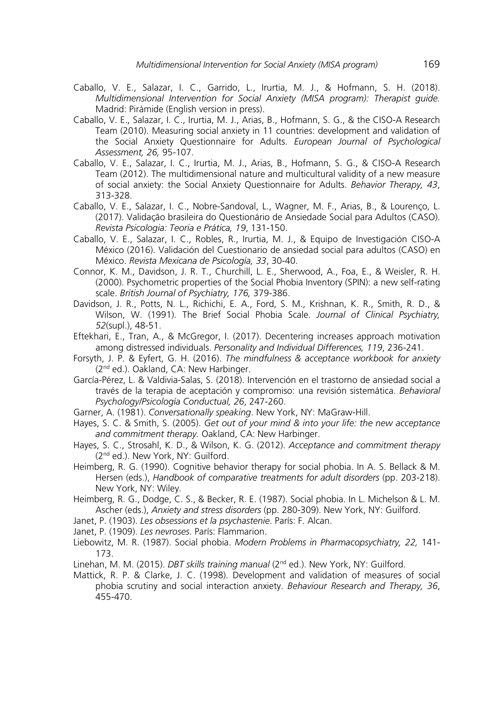- Caballo, V. E., Salazar, I. C., Garrido, L., Irurtia, M. J., & Hofmann, S. H. (2018). *Multidimensional Intervention for Social Anxiety (MISA program): Therapist guide.*  Madrid: Pirámide (English version in press).
- Caballo, V. E., Salazar, I. C., Irurtia, M. J., Arias, B., Hofmann, S. G., & the CISO-A Research Team (2010). Measuring social anxiety in 11 countries: development and validation of the Social Anxiety Questionnaire for Adults. *European Journal of Psychological Assessment, 26,* 95-107.
- Caballo, V. E., Salazar, I. C., Irurtia, M. J., Arias, B., Hofmann, S. G., & CISO-A Research Team (2012). The multidimensional nature and multicultural validity of a new measure of social anxiety: the Social Anxiety Questionnaire for Adults. *Behavior Therapy, 43*, 313-328.
- Caballo, V. E., Salazar, I. C., Nobre-Sandoval, L., Wagner, M. F., Arias, B., & Lourenço, L. (2017). Validação brasileira do Questionário de Ansiedade Social para Adultos (CASO). *Revista Psicologia: Teoria e Prática, 19*, 131-150.
- Caballo, V. E., Salazar, I. C., Robles, R., Irurtia, M. J., & Equipo de Investigación CISO-A México (2016). Validación del Cuestionario de ansiedad social para adultos (CASO) en México. *Revista Mexicana de Psicología, 33*, 30-40.
- Connor, K. M., Davidson, J. R. T., Churchill, L. E., Sherwood, A., Foa, E., & Weisler, R. H. (2000). Psychometric properties of the Social Phobia Inventory (SPIN): a new self-rating scale. *British Journal of Psychiatry, 176,* 379-386.
- Davidson, J. R., Potts, N. L., Richichi, E. A., Ford, S. M., Krishnan, K. R., Smith, R. D., & Wilson, W. (1991). The Brief Social Phobia Scale. *Journal of Clinical Psychiatry, 52*(supl.), 48-51.
- Eftekhari, E., Tran, A., & McGregor, I. (2017). Decentering increases approach motivation among distressed individuals. *Personality and Individual Differences, 119*, 236-241.
- Forsyth, J. P. & Eyfert, G. H. (2016). *The mindfulness & acceptance workbook for anxiety* (2nd ed.). Oakland, CA: New Harbinger.
- García-Pérez, L. & Valdivia-Salas, S. (2018). Intervención en el trastorno de ansiedad social a través de la terapia de aceptación y compromiso: una revisión sistemática. *Behavioral Psychology/Psicología Conductual, 26*, 247-260.

Garner, A. (1981). *Conversationally speaking*. New York, NY: MaGraw-Hill.

- Hayes, S. C. & Smith, S. (2005). *Get out of your mind & into your life: the new acceptance and commitment therapy.* Oakland, CA: New Harbinger.
- Hayes, S. C., Strosahl, K. D., & Wilson, K. G. (2012). *Acceptance and commitment therapy* (2nd ed.). New York, NY: Guilford.
- Heimberg, R. G. (1990). Cognitive behavior therapy for social phobia. In A. S. Bellack & M. Hersen (eds.), *Handbook of comparative treatments for adult disorders* (pp. 203-218). New York, NY: Wiley.
- Heimberg, R. G., Dodge, C. S., & Becker, R. E. (1987). Social phobia. In L. Michelson & L. M. Ascher (eds.), *Anxiety and stress disorders* (pp. 280-309). New York, NY: Guilford.
- Janet, P. (1903). *Les obsessions et la psychastenie*. París: F. Alcan.
- Janet, P. (1909). *Les nevroses*. París: Flammarion.
- Liebowitz, M. R. (1987). Social phobia. *Modern Problems in Pharmacopsychiatry, 22,* 141- 173.
- Linehan, M. M. (2015). *DBT skills training manual* (2nd ed.). New York, NY: Guilford.
- Mattick, R. P. & Clarke, J. C. (1998). Development and validation of measures of social phobia scrutiny and social interaction anxiety. *Behaviour Research and Therapy, 36*, 455-470.